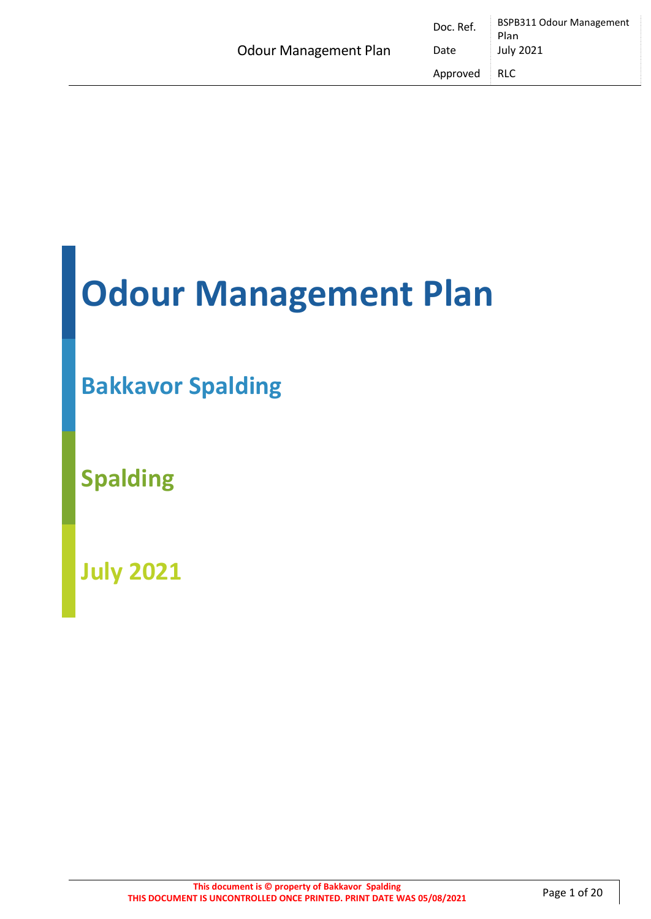|                              | Doc. Ref. | <b>BSPB311 Odour Management</b><br>Plan |
|------------------------------|-----------|-----------------------------------------|
| <b>Odour Management Plan</b> | Date      | July 2021                               |
|                              | Approved  | <b>RLC</b>                              |

# **Odour Management Plan**

## **Bakkavor Spalding**

**Spalding** 

**July 2021**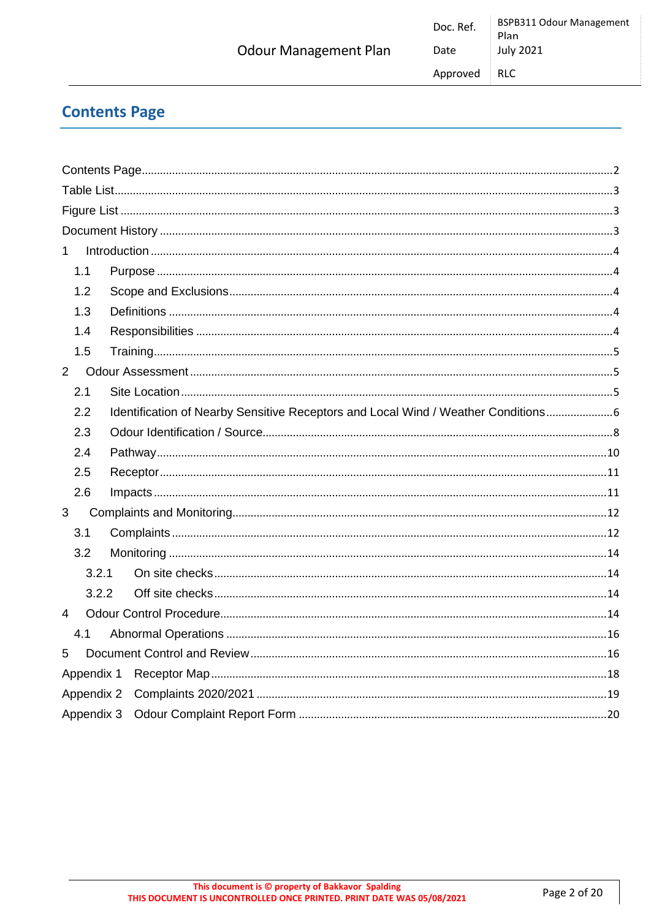### <span id="page-1-0"></span>**Contents Page**

| $\mathbf{1}$   |                                                                                    |  |
|----------------|------------------------------------------------------------------------------------|--|
| 1.1            |                                                                                    |  |
| 1.2            |                                                                                    |  |
| 1.3            |                                                                                    |  |
| 1.4            |                                                                                    |  |
| 1.5            |                                                                                    |  |
| $\overline{2}$ |                                                                                    |  |
| 2.1            |                                                                                    |  |
| 2.2            | Identification of Nearby Sensitive Receptors and Local Wind / Weather Conditions 6 |  |
| 2.3            |                                                                                    |  |
| 2.4            |                                                                                    |  |
| 2.5            |                                                                                    |  |
| 2.6            |                                                                                    |  |
| 3              |                                                                                    |  |
| 3.1            |                                                                                    |  |
| 3.2            |                                                                                    |  |
| 3.2.1          |                                                                                    |  |
| 3.2.2          |                                                                                    |  |
| $\overline{4}$ |                                                                                    |  |
| 4.1            |                                                                                    |  |
| 5              |                                                                                    |  |
| Appendix 1     |                                                                                    |  |
| Appendix 2     |                                                                                    |  |
| Appendix 3     |                                                                                    |  |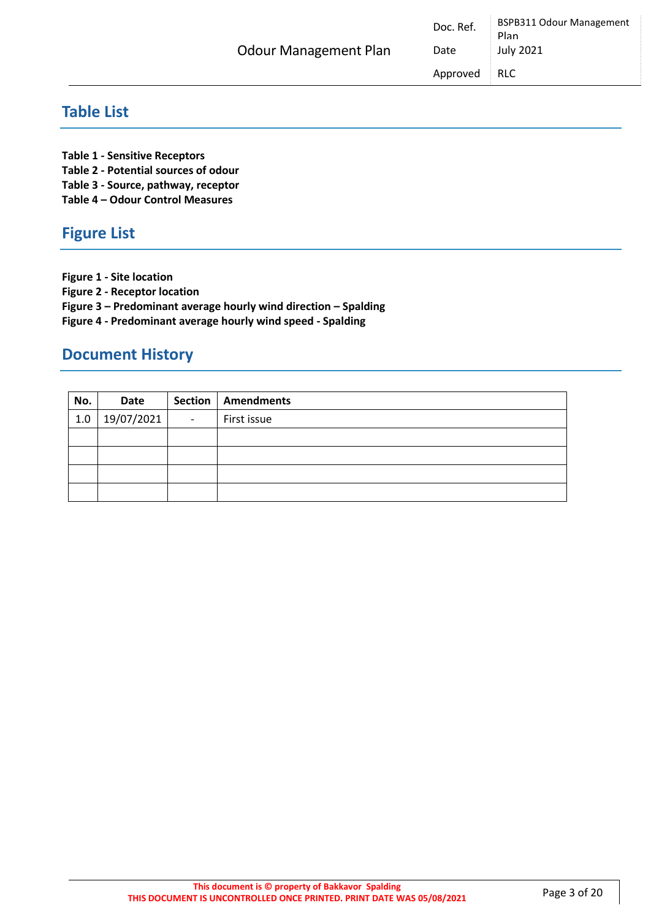| <b>Odour Management Plan</b> | D |
|------------------------------|---|

### <span id="page-2-0"></span>**Table List**

**Table 1 - Sensitive Receptors** 

**Table 2 - Potential sources of odour**

**Table 3 - Source, pathway, receptor**

**Table 4 – Odour Control Measures**

### <span id="page-2-1"></span>**Figure List**

**Figure 1 - Site location** 

**Figure 2 - Receptor location**

**Figure 3 – Predominant average hourly wind direction – Spalding**

**Figure 4 - Predominant average hourly wind speed - Spalding**

### <span id="page-2-2"></span>**Document History**

| No. | Date       |                          | Section   Amendments |
|-----|------------|--------------------------|----------------------|
| 1.0 | 19/07/2021 | $\overline{\phantom{a}}$ | First issue          |
|     |            |                          |                      |
|     |            |                          |                      |
|     |            |                          |                      |
|     |            |                          |                      |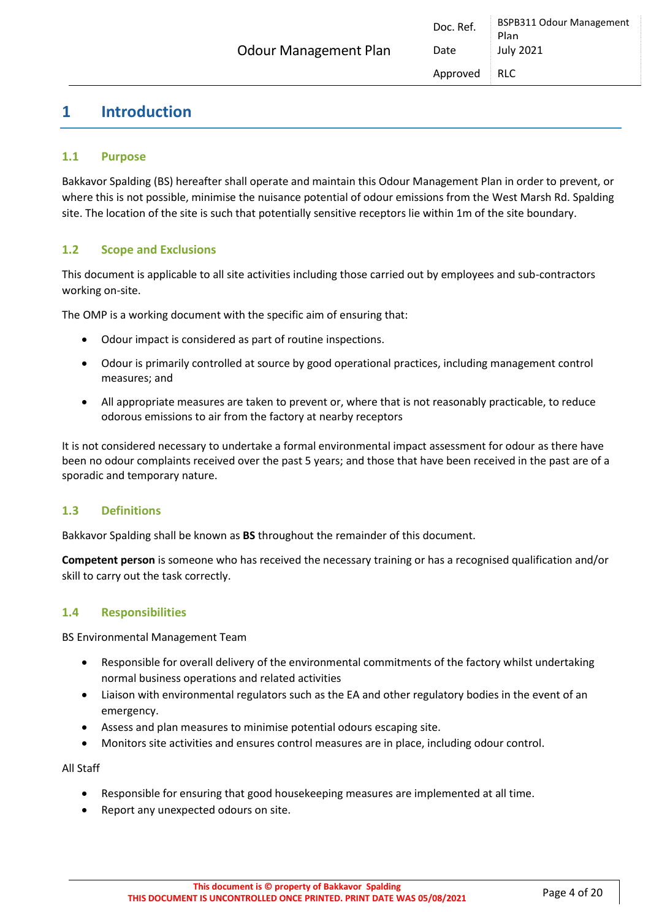### <span id="page-3-0"></span>**1 Introduction**

#### <span id="page-3-1"></span>**1.1 Purpose**

Bakkavor Spalding (BS) hereafter shall operate and maintain this Odour Management Plan in order to prevent, or where this is not possible, minimise the nuisance potential of odour emissions from the West Marsh Rd. Spalding site. The location of the site is such that potentially sensitive receptors lie within 1m of the site boundary.

#### <span id="page-3-2"></span>**1.2 Scope and Exclusions**

This document is applicable to all site activities including those carried out by employees and sub-contractors working on-site.

The OMP is a working document with the specific aim of ensuring that:

- Odour impact is considered as part of routine inspections.
- Odour is primarily controlled at source by good operational practices, including management control measures; and
- All appropriate measures are taken to prevent or, where that is not reasonably practicable, to reduce odorous emissions to air from the factory at nearby receptors

It is not considered necessary to undertake a formal environmental impact assessment for odour as there have been no odour complaints received over the past 5 years; and those that have been received in the past are of a sporadic and temporary nature.

#### <span id="page-3-3"></span>**1.3 Definitions**

Bakkavor Spalding shall be known as **BS** throughout the remainder of this document.

**Competent person** is someone who has received the necessary training or has a recognised qualification and/or skill to carry out the task correctly.

#### <span id="page-3-4"></span>**1.4 Responsibilities**

BS Environmental Management Team

- Responsible for overall delivery of the environmental commitments of the factory whilst undertaking normal business operations and related activities
- Liaison with environmental regulators such as the EA and other regulatory bodies in the event of an emergency.
- Assess and plan measures to minimise potential odours escaping site.
- Monitors site activities and ensures control measures are in place, including odour control.

All Staff

- Responsible for ensuring that good housekeeping measures are implemented at all time.
- Report any unexpected odours on site.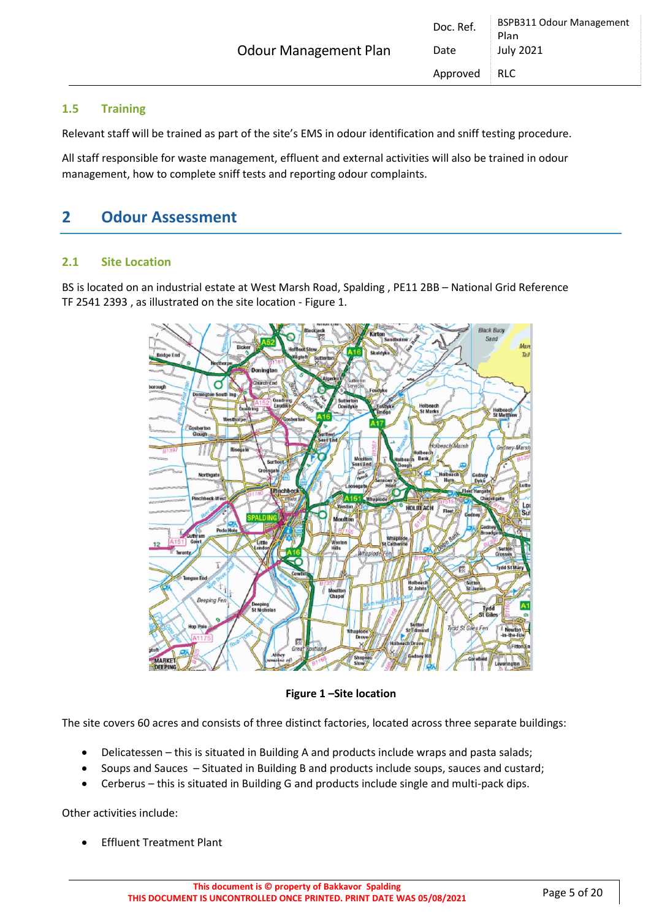#### <span id="page-4-0"></span>**1.5 Training**

Relevant staff will be trained as part of the site's EMS in odour identification and sniff testing procedure.

All staff responsible for waste management, effluent and external activities will also be trained in odour management, how to complete sniff tests and reporting odour complaints.

### <span id="page-4-1"></span>**2 Odour Assessment**

#### <span id="page-4-2"></span>**2.1 Site Location**

BS is located on an industrial estate at West Marsh Road, Spalding , PE11 2BB – National Grid Reference TF 2541 2393 , as illustrated on the site location - Figure 1.



**Figure 1 –Site location**

The site covers 60 acres and consists of three distinct factories, located across three separate buildings:

- Delicatessen this is situated in Building A and products include wraps and pasta salads;
- Soups and Sauces Situated in Building B and products include soups, sauces and custard;
- Cerberus this is situated in Building G and products include single and multi-pack dips.

Other activities include:

• Effluent Treatment Plant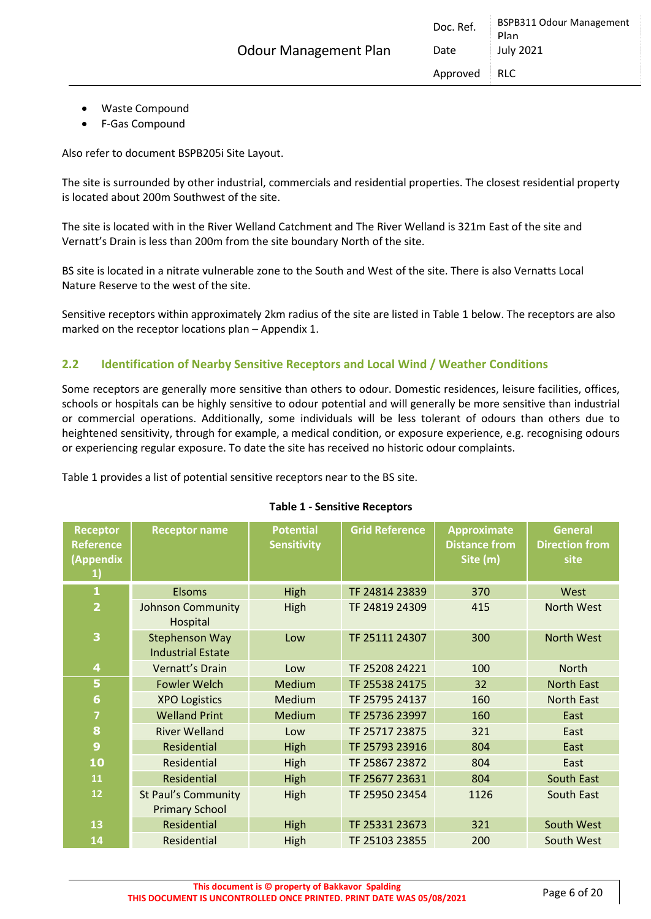- Waste Compound
- F-Gas Compound

Also refer to document BSPB205i Site Layout.

The site is surrounded by other industrial, commercials and residential properties. The closest residential property is located about 200m Southwest of the site.

The site is located with in the River Welland Catchment and The River Welland is 321m East of the site and Vernatt's Drain is less than 200m from the site boundary North of the site.

BS site is located in a nitrate vulnerable zone to the South and West of the site. There is also Vernatts Local Nature Reserve to the west of the site.

Sensitive receptors within approximately 2km radius of the site are listed in Table 1 below. The receptors are also marked on the receptor locations plan – Appendix 1.

#### <span id="page-5-0"></span>**2.2 Identification of Nearby Sensitive Receptors and Local Wind / Weather Conditions**

Some receptors are generally more sensitive than others to odour. Domestic residences, leisure facilities, offices, schools or hospitals can be highly sensitive to odour potential and will generally be more sensitive than industrial or commercial operations. Additionally, some individuals will be less tolerant of odours than others due to heightened sensitivity, through for example, a medical condition, or exposure experience, e.g. recognising odours or experiencing regular exposure. To date the site has received no historic odour complaints.

Table 1 provides a list of potential sensitive receptors near to the BS site.

| Receptor<br><b>Reference</b><br>(Appendix<br>$\mathbf{1}$ | <b>Receptor name</b>                                | <b>Potential</b><br><b>Sensitivity</b> | <b>Grid Reference</b> | <b>Approximate</b><br><b>Distance from</b><br>Site (m) | <b>General</b><br><b>Direction from</b><br>site |
|-----------------------------------------------------------|-----------------------------------------------------|----------------------------------------|-----------------------|--------------------------------------------------------|-------------------------------------------------|
| $\mathbf{1}$                                              | <b>Elsoms</b>                                       | High                                   | TF 24814 23839        | 370                                                    | West                                            |
| $\overline{\mathbf{2}}$                                   | <b>Johnson Community</b><br>Hospital                | High                                   | TF 24819 24309        | 415                                                    | <b>North West</b>                               |
| 3                                                         | <b>Stephenson Way</b><br><b>Industrial Estate</b>   | Low                                    | TF 25111 24307        | 300                                                    | <b>North West</b>                               |
| $\overline{\mathbf{4}}$                                   | Vernatt's Drain                                     | Low                                    | TF 25208 24221        | 100                                                    | <b>North</b>                                    |
| 5                                                         | <b>Fowler Welch</b>                                 | Medium                                 | TF 25538 24175        | 32                                                     | <b>North East</b>                               |
| $6\phantom{a}$                                            | <b>XPO Logistics</b>                                | Medium                                 | TF 25795 24137        | 160                                                    | <b>North East</b>                               |
| $\overline{7}$                                            | <b>Welland Print</b>                                | Medium                                 | TF 25736 23997        | 160                                                    | East                                            |
| 8                                                         | <b>River Welland</b>                                | Low                                    | TF 25717 23875        | 321                                                    | East                                            |
| $\overline{9}$                                            | <b>Residential</b>                                  | High                                   | TF 25793 23916        | 804                                                    | East                                            |
| 10                                                        | Residential                                         | High                                   | TF 25867 23872        | 804                                                    | East                                            |
| 11                                                        | <b>Residential</b>                                  | High                                   | TF 25677 23631        | 804                                                    | <b>South East</b>                               |
| 12                                                        | <b>St Paul's Community</b><br><b>Primary School</b> | High                                   | TF 25950 23454        | 1126                                                   | <b>South East</b>                               |
| 13                                                        | <b>Residential</b>                                  | High                                   | TF 25331 23673        | 321                                                    | South West                                      |
| 14                                                        | Residential                                         | High                                   | TF 25103 23855        | 200                                                    | South West                                      |

#### **Table 1 - Sensitive Receptors**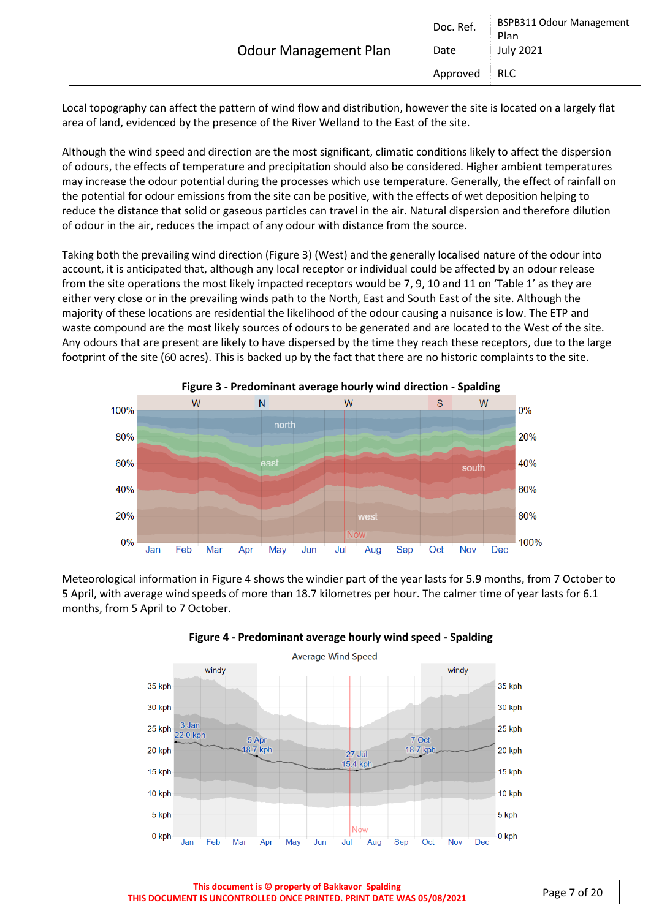| <b>Odour Management Plan</b> | Doc. Ref.<br>Date | <b>BSPB311 Odour Management</b><br>Plan<br><b>July 2021</b> |
|------------------------------|-------------------|-------------------------------------------------------------|
|                              | Approved          | RLC                                                         |

Local topography can affect the pattern of wind flow and distribution, however the site is located on a largely flat area of land, evidenced by the presence of the River Welland to the East of the site.

Although the wind speed and direction are the most significant, climatic conditions likely to affect the dispersion of odours, the effects of temperature and precipitation should also be considered. Higher ambient temperatures may increase the odour potential during the processes which use temperature. Generally, the effect of rainfall on the potential for odour emissions from the site can be positive, with the effects of wet deposition helping to reduce the distance that solid or gaseous particles can travel in the air. Natural dispersion and therefore dilution of odour in the air, reduces the impact of any odour with distance from the source.

Taking both the prevailing wind direction (Figure 3) (West) and the generally localised nature of the odour into account, it is anticipated that, although any local receptor or individual could be affected by an odour release from the site operations the most likely impacted receptors would be 7, 9, 10 and 11 on 'Table 1' as they are either very close or in the prevailing winds path to the North, East and South East of the site. Although the majority of these locations are residential the likelihood of the odour causing a nuisance is low. The ETP and waste compound are the most likely sources of odours to be generated and are located to the West of the site. Any odours that are present are likely to have dispersed by the time they reach these receptors, due to the large footprint of the site (60 acres). This is backed up by the fact that there are no historic complaints to the site.



Meteorological information in Figure 4 shows the windier part of the year lasts for 5.9 months, from 7 October to 5 April, with average wind speeds of more than 18.7 kilometres per hour. The calmer time of year lasts for 6.1 months, from 5 April to 7 October.



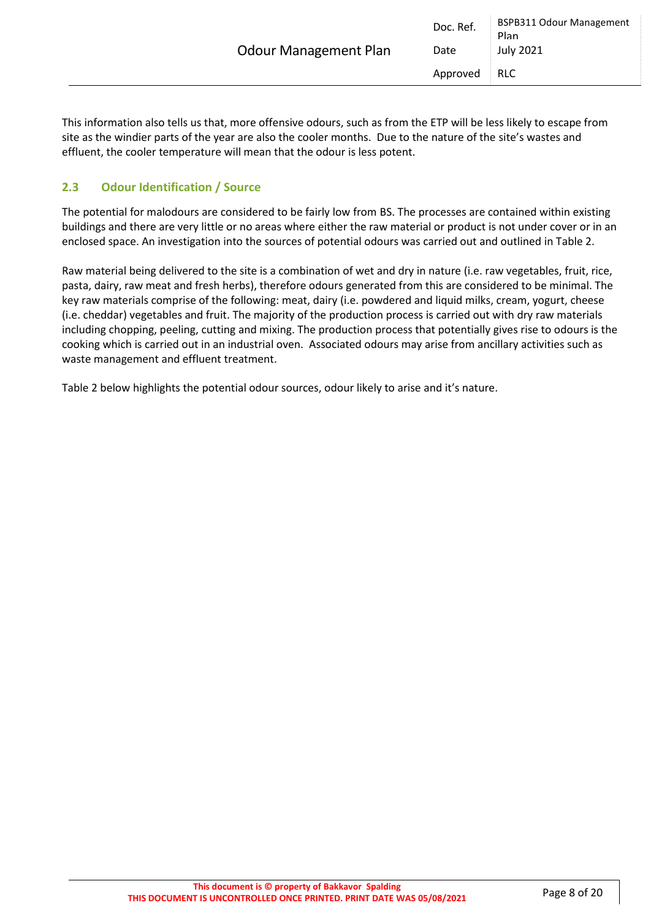|                              | Doc. Ref. | <b>BSPB311 Odour Management</b><br>Plan |
|------------------------------|-----------|-----------------------------------------|
| <b>Odour Management Plan</b> | Date      | <b>July 2021</b>                        |
|                              | Approved  | <b>RLC</b>                              |
|                              |           |                                         |

This information also tells us that, more offensive odours, such as from the ETP will be less likely to escape from site as the windier parts of the year are also the cooler months. Due to the nature of the site's wastes and effluent, the cooler temperature will mean that the odour is less potent.

#### <span id="page-7-0"></span>**2.3 Odour Identification / Source**

The potential for malodours are considered to be fairly low from BS. The processes are contained within existing buildings and there are very little or no areas where either the raw material or product is not under cover or in an enclosed space. An investigation into the sources of potential odours was carried out and outlined in Table 2.

Raw material being delivered to the site is a combination of wet and dry in nature (i.e. raw vegetables, fruit, rice, pasta, dairy, raw meat and fresh herbs), therefore odours generated from this are considered to be minimal. The key raw materials comprise of the following: meat, dairy (i.e. powdered and liquid milks, cream, yogurt, cheese (i.e. cheddar) vegetables and fruit. The majority of the production process is carried out with dry raw materials including chopping, peeling, cutting and mixing. The production process that potentially gives rise to odours is the cooking which is carried out in an industrial oven. Associated odours may arise from ancillary activities such as waste management and effluent treatment.

Table 2 below highlights the potential odour sources, odour likely to arise and it's nature.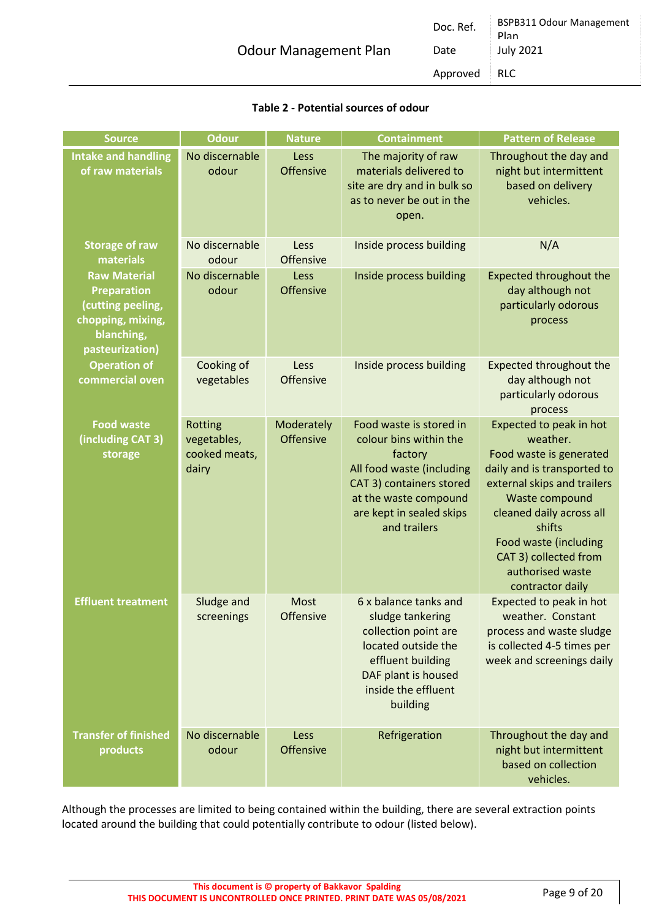|                              | Doc. Ref. | <b>BSPB311 Odour Management</b><br>Plan |
|------------------------------|-----------|-----------------------------------------|
| <b>Odour Management Plan</b> | Date      | July 2021                               |
|                              | Approved  | RLC                                     |

| <b>Source</b>                                                                                                        | <b>Odour</b>                                                            | <b>Nature</b>           | <b>Containment</b>                                                                                                                                                                         | <b>Pattern of Release</b>                                                                                                                                                                                                                                                      |
|----------------------------------------------------------------------------------------------------------------------|-------------------------------------------------------------------------|-------------------------|--------------------------------------------------------------------------------------------------------------------------------------------------------------------------------------------|--------------------------------------------------------------------------------------------------------------------------------------------------------------------------------------------------------------------------------------------------------------------------------|
| <b>Intake and handling</b><br>of raw materials                                                                       | No discernable<br>odour                                                 | Less<br>Offensive       | The majority of raw<br>materials delivered to<br>site are dry and in bulk so<br>as to never be out in the<br>open.                                                                         | Throughout the day and<br>night but intermittent<br>based on delivery<br>vehicles.                                                                                                                                                                                             |
| <b>Storage of raw</b><br>materials                                                                                   | No discernable<br>odour                                                 | Less<br>Offensive       | Inside process building                                                                                                                                                                    | N/A                                                                                                                                                                                                                                                                            |
| <b>Raw Material</b><br><b>Preparation</b><br>(cutting peeling,<br>chopping, mixing,<br>blanching,<br>pasteurization) | No discernable<br>Inside process building<br>Less<br>Offensive<br>odour |                         | <b>Expected throughout the</b><br>day although not<br>particularly odorous<br>process                                                                                                      |                                                                                                                                                                                                                                                                                |
| <b>Operation of</b><br>commercial oven                                                                               | Cooking of<br>vegetables                                                | Less<br>Offensive       | Inside process building                                                                                                                                                                    | <b>Expected throughout the</b><br>day although not<br>particularly odorous<br>process                                                                                                                                                                                          |
| <b>Food waste</b><br>(including CAT 3)<br>storage                                                                    | <b>Rotting</b><br>vegetables,<br>cooked meats,<br>dairy                 | Moderately<br>Offensive | Food waste is stored in<br>colour bins within the<br>factory<br>All food waste (including<br>CAT 3) containers stored<br>at the waste compound<br>are kept in sealed skips<br>and trailers | Expected to peak in hot<br>weather.<br>Food waste is generated<br>daily and is transported to<br>external skips and trailers<br>Waste compound<br>cleaned daily across all<br>shifts<br>Food waste (including<br>CAT 3) collected from<br>authorised waste<br>contractor daily |
| <b>Effluent treatment</b>                                                                                            | Sludge and<br>screenings                                                | Most<br>Offensive       | 6 x balance tanks and<br>sludge tankering<br>collection point are<br>located outside the<br>effluent building<br>DAF plant is housed<br>inside the effluent<br>building                    | Expected to peak in hot<br>weather. Constant<br>process and waste sludge<br>is collected 4-5 times per<br>week and screenings daily                                                                                                                                            |
| <b>Transfer of finished</b><br>products                                                                              | No discernable<br>odour                                                 | Less<br>Offensive       | Refrigeration                                                                                                                                                                              | Throughout the day and<br>night but intermittent<br>based on collection<br>vehicles.                                                                                                                                                                                           |

#### **Table 2 - Potential sources of odour**

Although the processes are limited to being contained within the building, there are several extraction points located around the building that could potentially contribute to odour (listed below).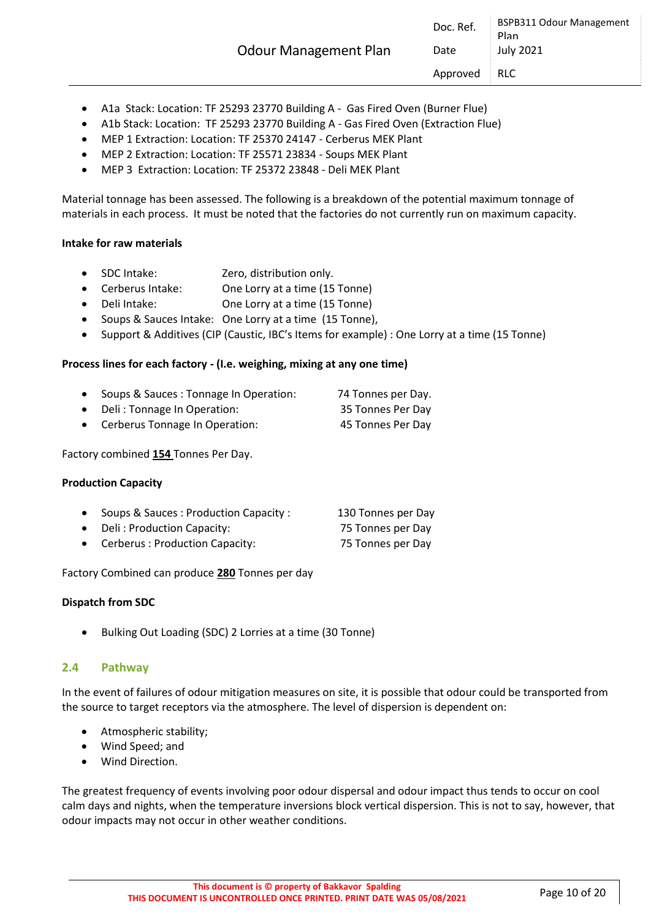| <b>Odour Management Plan</b> | Doc. Ref.<br>Date | <b>BSPB311 Odour Management</b><br>Plan<br><b>July 2021</b> |
|------------------------------|-------------------|-------------------------------------------------------------|
|                              | Approved          | <b>RLC</b>                                                  |

- A1a Stack: Location: TF 25293 23770 Building A Gas Fired Oven (Burner Flue)
- A1b Stack: Location: TF 25293 23770 Building A Gas Fired Oven (Extraction Flue)
- MEP 1 Extraction: Location: TF 25370 24147 Cerberus MEK Plant
- MEP 2 Extraction: Location: TF 25571 23834 Soups MEK Plant
- MEP 3 Extraction: Location: TF 25372 23848 Deli MEK Plant

Material tonnage has been assessed. The following is a breakdown of the potential maximum tonnage of materials in each process. It must be noted that the factories do not currently run on maximum capacity.

#### <span id="page-9-0"></span>**Intake for raw materials**

- SDC Intake: Zero, distribution only.
- Cerberus Intake: One Lorry at a time (15 Tonne)
- Deli Intake: One Lorry at a time (15 Tonne)
- Soups & Sauces Intake: One Lorry at a time (15 Tonne),
- Support & Additives (CIP (Caustic, IBC's Items for example) : One Lorry at a time (15 Tonne)

#### **Process lines for each factory - (I.e. weighing, mixing at any one time)**

- Soups & Sauces : Tonnage In Operation: 74 Tonnes per Day.
- Deli : Tonnage In Operation: 35 Tonnes Per Day
- Cerberus Tonnage In Operation: 45 Tonnes Per Day

Factory combined **154** Tonnes Per Day.

#### **Production Capacity**

- Soups & Sauces : Production Capacity : 130 Tonnes per Day
- Deli: Production Capacity: 75 Tonnes per Day
- Cerberus : Production Capacity: 75 Tonnes per Day

Factory Combined can produce **280** Tonnes per day

#### **Dispatch from SDC**

• Bulking Out Loading (SDC) 2 Lorries at a time (30 Tonne)

#### **2.4 Pathway**

In the event of failures of odour mitigation measures on site, it is possible that odour could be transported from the source to target receptors via the atmosphere. The level of dispersion is dependent on:

- Atmospheric stability;
- Wind Speed; and
- Wind Direction.

The greatest frequency of events involving poor odour dispersal and odour impact thus tends to occur on cool calm days and nights, when the temperature inversions block vertical dispersion. This is not to say, however, that odour impacts may not occur in other weather conditions.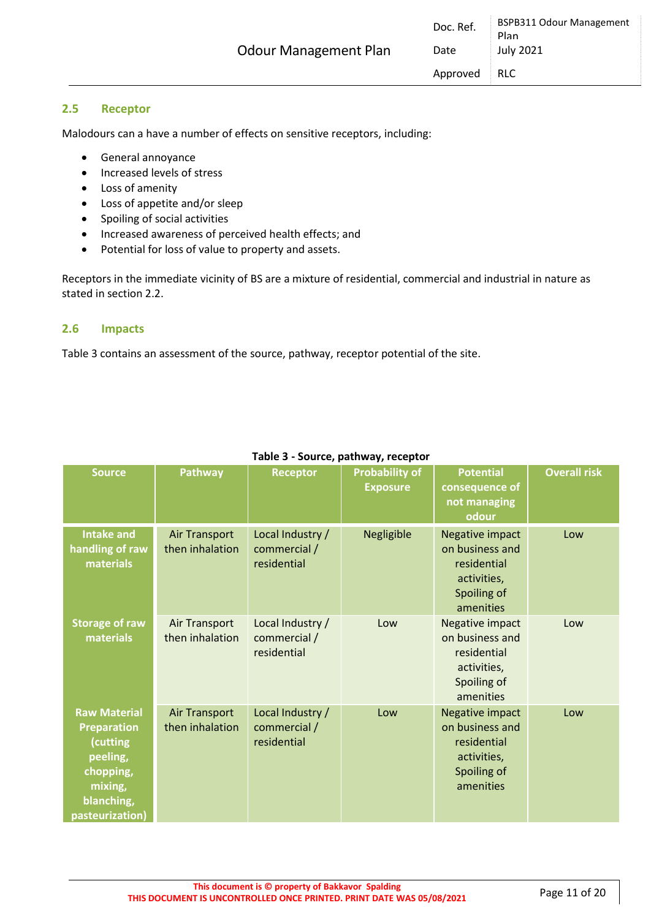#### <span id="page-10-0"></span>**2.5 Receptor**

Malodours can a have a number of effects on sensitive receptors, including:

- General annoyance
- Increased levels of stress
- Loss of amenity
- Loss of appetite and/or sleep
- Spoiling of social activities
- Increased awareness of perceived health effects; and
- Potential for loss of value to property and assets.

Receptors in the immediate vicinity of BS are a mixture of residential, commercial and industrial in nature as stated in section 2.2.

#### <span id="page-10-1"></span>**2.6 Impacts**

Table 3 contains an assessment of the source, pathway, receptor potential of the site.

| <b>Source</b>                                                                                                              | <b>Pathway</b>                   | <b>Receptor</b>                                 | <b>Probability of</b><br><b>Exposure</b> | <b>Potential</b><br>consequence of<br>not managing<br>odour                                  | <b>Overall risk</b> |
|----------------------------------------------------------------------------------------------------------------------------|----------------------------------|-------------------------------------------------|------------------------------------------|----------------------------------------------------------------------------------------------|---------------------|
| <b>Intake and</b><br>handling of raw<br>materials                                                                          | Air Transport<br>then inhalation | Local Industry /<br>commercial /<br>residential | Negligible                               | Negative impact<br>on business and<br>residential<br>activities,<br>Spoiling of<br>amenities | Low                 |
| <b>Storage of raw</b><br>materials                                                                                         | Air Transport<br>then inhalation | Local Industry /<br>commercial /<br>residential | Low                                      | Negative impact<br>on business and<br>residential<br>activities,<br>Spoiling of<br>amenities | Low                 |
| <b>Raw Material</b><br><b>Preparation</b><br>(cutting<br>peeling,<br>chopping,<br>mixing,<br>blanching,<br>pasteurization) | Air Transport<br>then inhalation | Local Industry /<br>commercial /<br>residential | Low                                      | Negative impact<br>on business and<br>residential<br>activities,<br>Spoiling of<br>amenities | Low                 |

#### **Table 3 - Source, pathway, receptor**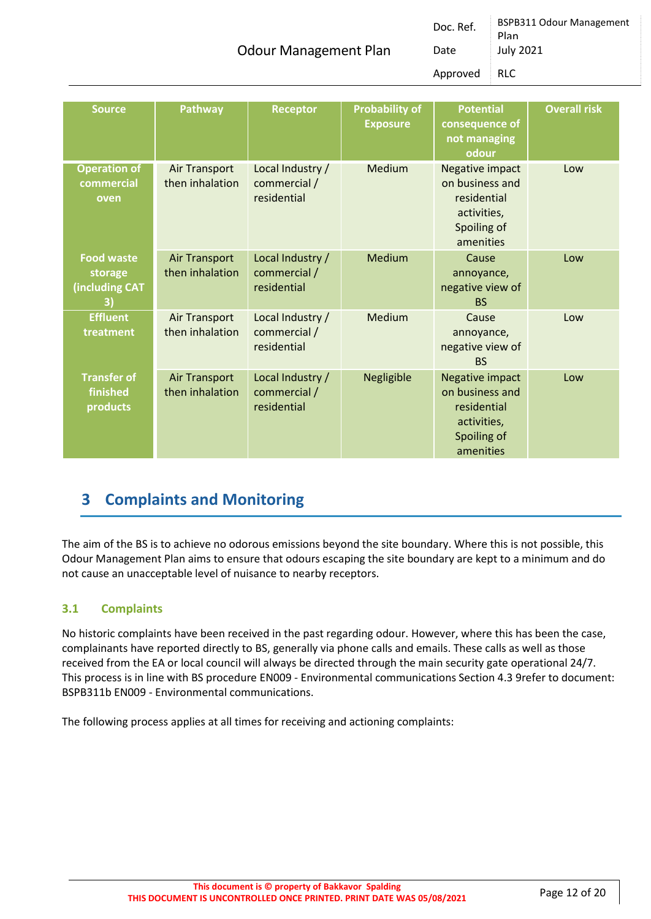Odour Management Plan

Doc. Ref. BSPB311 Odour Management Plan Date July 2021 Approved RLC

| <b>Source</b>                                               | <b>Pathway</b>                   | <b>Receptor</b>                                 | <b>Probability of</b><br><b>Exposure</b> | <b>Potential</b><br>consequence of<br>not managing<br>odour                                  | <b>Overall risk</b> |
|-------------------------------------------------------------|----------------------------------|-------------------------------------------------|------------------------------------------|----------------------------------------------------------------------------------------------|---------------------|
| <b>Operation of</b><br>commercial<br>oven                   | Air Transport<br>then inhalation | Local Industry /<br>commercial /<br>residential | Medium                                   | Negative impact<br>on business and<br>residential<br>activities,<br>Spoiling of<br>amenities | Low                 |
| <b>Food waste</b><br>storage<br><b>(including CAT</b><br>3) | Air Transport<br>then inhalation | Local Industry /<br>commercial /<br>residential | Medium                                   | Cause<br>annoyance,<br>negative view of<br><b>BS</b>                                         | Low                 |
| <b>Effluent</b><br>treatment                                | Air Transport<br>then inhalation | Local Industry /<br>commercial /<br>residential | Medium                                   | Cause<br>annoyance,<br>negative view of<br><b>BS</b>                                         | Low                 |
| <b>Transfer of</b><br>finished<br>products                  | Air Transport<br>then inhalation | Local Industry /<br>commercial /<br>residential | Negligible                               | Negative impact<br>on business and<br>residential<br>activities,<br>Spoiling of<br>amenities | Low                 |

### <span id="page-11-0"></span>**3 Complaints and Monitoring**

The aim of the BS is to achieve no odorous emissions beyond the site boundary. Where this is not possible, this Odour Management Plan aims to ensure that odours escaping the site boundary are kept to a minimum and do not cause an unacceptable level of nuisance to nearby receptors.

#### <span id="page-11-1"></span>**3.1 Complaints**

No historic complaints have been received in the past regarding odour. However, where this has been the case, complainants have reported directly to BS, generally via phone calls and emails. These calls as well as those received from the EA or local council will always be directed through the main security gate operational 24/7. This process is in line with BS procedure EN009 - Environmental communications Section 4.3 9refer to document: BSPB311b EN009 - Environmental communications.

The following process applies at all times for receiving and actioning complaints: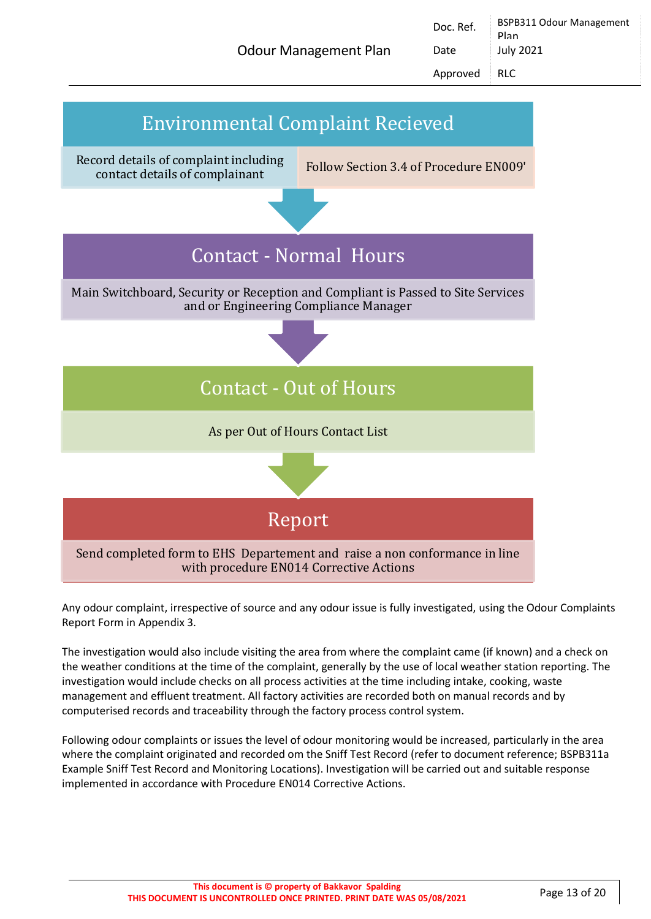Odour Management Plan

Doc. Ref. | BSPB311 Odour Management Plan Date July 2021



Any odour complaint, irrespective of source and any odour issue is fully investigated, using the Odour Complaints Report Form in Appendix 3.

The investigation would also include visiting the area from where the complaint came (if known) and a check on the weather conditions at the time of the complaint, generally by the use of local weather station reporting. The investigation would include checks on all process activities at the time including intake, cooking, waste management and effluent treatment. All factory activities are recorded both on manual records and by computerised records and traceability through the factory process control system.

Following odour complaints or issues the level of odour monitoring would be increased, particularly in the area where the complaint originated and recorded om the Sniff Test Record (refer to document reference; BSPB311a Example Sniff Test Record and Monitoring Locations). Investigation will be carried out and suitable response implemented in accordance with Procedure EN014 Corrective Actions.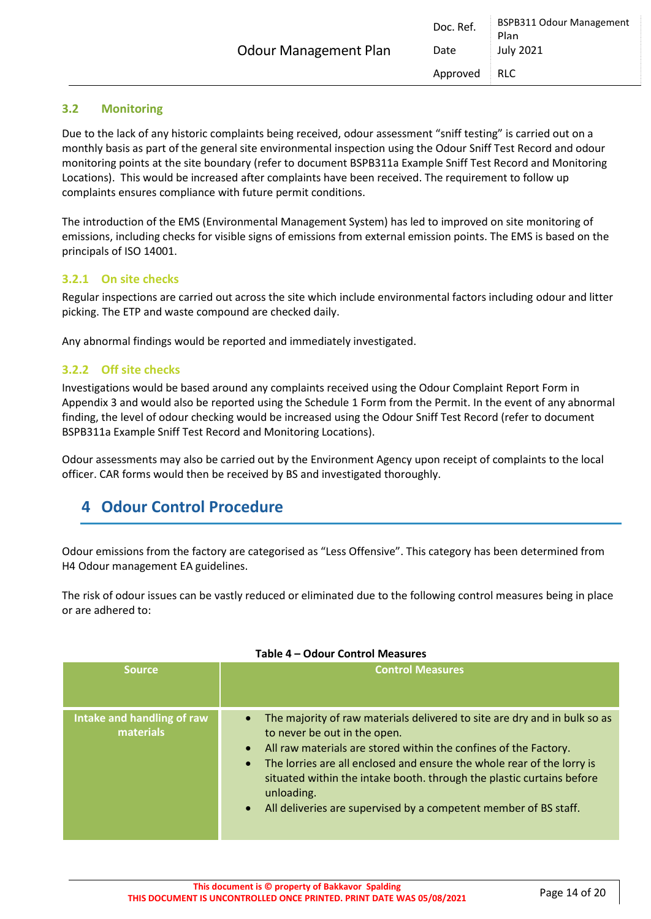#### <span id="page-13-0"></span>**3.2 Monitoring**

Due to the lack of any historic complaints being received, odour assessment "sniff testing" is carried out on a monthly basis as part of the general site environmental inspection using the Odour Sniff Test Record and odour monitoring points at the site boundary (refer to document BSPB311a Example Sniff Test Record and Monitoring Locations). This would be increased after complaints have been received. The requirement to follow up complaints ensures compliance with future permit conditions.

The introduction of the EMS (Environmental Management System) has led to improved on site monitoring of emissions, including checks for visible signs of emissions from external emission points. The EMS is based on the principals of ISO 14001.

#### <span id="page-13-1"></span>**3.2.1 On site checks**

Regular inspections are carried out across the site which include environmental factors including odour and litter picking. The ETP and waste compound are checked daily.

Any abnormal findings would be reported and immediately investigated.

#### <span id="page-13-2"></span>**3.2.2 Off site checks**

Investigations would be based around any complaints received using the Odour Complaint Report Form in Appendix 3 and would also be reported using the Schedule 1 Form from the Permit. In the event of any abnormal finding, the level of odour checking would be increased using the Odour Sniff Test Record (refer to document BSPB311a Example Sniff Test Record and Monitoring Locations).

Odour assessments may also be carried out by the Environment Agency upon receipt of complaints to the local officer. CAR forms would then be received by BS and investigated thoroughly.

### <span id="page-13-3"></span>**4 Odour Control Procedure**

Odour emissions from the factory are categorised as "Less Offensive". This category has been determined from H4 Odour management EA guidelines.

The risk of odour issues can be vastly reduced or eliminated due to the following control measures being in place or are adhered to:

| <b>Source</b>                           | <b>Control Measures</b>                                                                                                                                                                                                                                                                                                                                                                                                                                   |
|-----------------------------------------|-----------------------------------------------------------------------------------------------------------------------------------------------------------------------------------------------------------------------------------------------------------------------------------------------------------------------------------------------------------------------------------------------------------------------------------------------------------|
| Intake and handling of raw<br>materials | The majority of raw materials delivered to site are dry and in bulk so as<br>$\bullet$<br>to never be out in the open.<br>All raw materials are stored within the confines of the Factory.<br>$\bullet$<br>The lorries are all enclosed and ensure the whole rear of the lorry is<br>$\bullet$<br>situated within the intake booth. through the plastic curtains before<br>unloading.<br>All deliveries are supervised by a competent member of BS staff. |

#### **Table 4 – Odour Control Measures**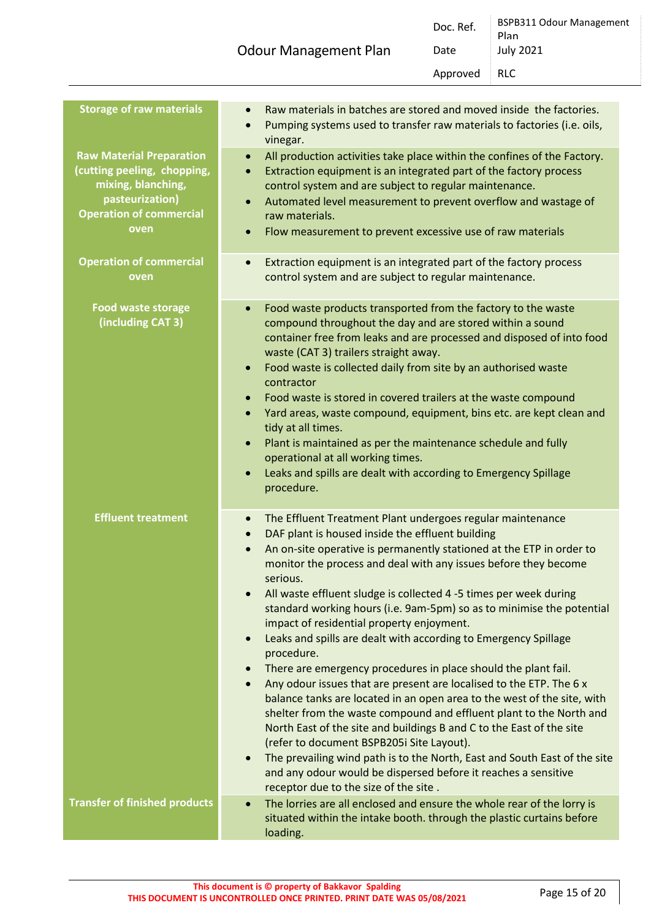| <b>Odour Management Plan</b> | Date<br>Approved | <b>July 2021</b><br>RLC                 |
|------------------------------|------------------|-----------------------------------------|
|                              | Doc. Ref.        | <b>BSPB311 Odour Management</b><br>Plan |

| <b>Storage of raw materials</b>                                                                                                                                                     | Raw materials in batches are stored and moved inside the factories.<br>$\bullet$<br>Pumping systems used to transfer raw materials to factories (i.e. oils,<br>$\bullet$<br>vinegar.                                                                                                                                                                                                                                                                                                                                                                                                                                                                                                                                                                                                                                                                                                                                                                                                                                                                                                                                                                                                                                                                 |
|-------------------------------------------------------------------------------------------------------------------------------------------------------------------------------------|------------------------------------------------------------------------------------------------------------------------------------------------------------------------------------------------------------------------------------------------------------------------------------------------------------------------------------------------------------------------------------------------------------------------------------------------------------------------------------------------------------------------------------------------------------------------------------------------------------------------------------------------------------------------------------------------------------------------------------------------------------------------------------------------------------------------------------------------------------------------------------------------------------------------------------------------------------------------------------------------------------------------------------------------------------------------------------------------------------------------------------------------------------------------------------------------------------------------------------------------------|
| <b>Raw Material Preparation</b><br>(cutting peeling, chopping,<br>mixing, blanching,<br>pasteurization)<br><b>Operation of commercial</b><br>oven<br><b>Operation of commercial</b> | All production activities take place within the confines of the Factory.<br>$\bullet$<br>Extraction equipment is an integrated part of the factory process<br>$\bullet$<br>control system and are subject to regular maintenance.<br>Automated level measurement to prevent overflow and wastage of<br>$\bullet$<br>raw materials.<br>Flow measurement to prevent excessive use of raw materials<br>$\bullet$<br>Extraction equipment is an integrated part of the factory process<br>$\bullet$                                                                                                                                                                                                                                                                                                                                                                                                                                                                                                                                                                                                                                                                                                                                                      |
| oven                                                                                                                                                                                | control system and are subject to regular maintenance.                                                                                                                                                                                                                                                                                                                                                                                                                                                                                                                                                                                                                                                                                                                                                                                                                                                                                                                                                                                                                                                                                                                                                                                               |
| <b>Food waste storage</b><br>(including CAT 3)                                                                                                                                      | Food waste products transported from the factory to the waste<br>$\bullet$<br>compound throughout the day and are stored within a sound<br>container free from leaks and are processed and disposed of into food<br>waste (CAT 3) trailers straight away.<br>Food waste is collected daily from site by an authorised waste<br>$\bullet$<br>contractor<br>Food waste is stored in covered trailers at the waste compound<br>$\bullet$<br>Yard areas, waste compound, equipment, bins etc. are kept clean and<br>$\bullet$<br>tidy at all times.<br>Plant is maintained as per the maintenance schedule and fully<br>$\bullet$<br>operational at all working times.<br>Leaks and spills are dealt with according to Emergency Spillage<br>$\bullet$<br>procedure.                                                                                                                                                                                                                                                                                                                                                                                                                                                                                     |
| <b>Effluent treatment</b>                                                                                                                                                           | The Effluent Treatment Plant undergoes regular maintenance<br>$\bullet$<br>DAF plant is housed inside the effluent building<br>$\bullet$<br>An on-site operative is permanently stationed at the ETP in order to<br>$\bullet$<br>monitor the process and deal with any issues before they become<br>serious.<br>All waste effluent sludge is collected 4 -5 times per week during<br>standard working hours (i.e. 9am-5pm) so as to minimise the potential<br>impact of residential property enjoyment.<br>Leaks and spills are dealt with according to Emergency Spillage<br>$\bullet$<br>procedure.<br>There are emergency procedures in place should the plant fail.<br>$\bullet$<br>Any odour issues that are present are localised to the ETP. The 6 x<br>$\bullet$<br>balance tanks are located in an open area to the west of the site, with<br>shelter from the waste compound and effluent plant to the North and<br>North East of the site and buildings B and C to the East of the site<br>(refer to document BSPB205i Site Layout).<br>The prevailing wind path is to the North, East and South East of the site<br>$\bullet$<br>and any odour would be dispersed before it reaches a sensitive<br>receptor due to the size of the site. |
| <b>Transfer of finished products</b>                                                                                                                                                | The lorries are all enclosed and ensure the whole rear of the lorry is<br>$\bullet$<br>situated within the intake booth. through the plastic curtains before<br>loading.                                                                                                                                                                                                                                                                                                                                                                                                                                                                                                                                                                                                                                                                                                                                                                                                                                                                                                                                                                                                                                                                             |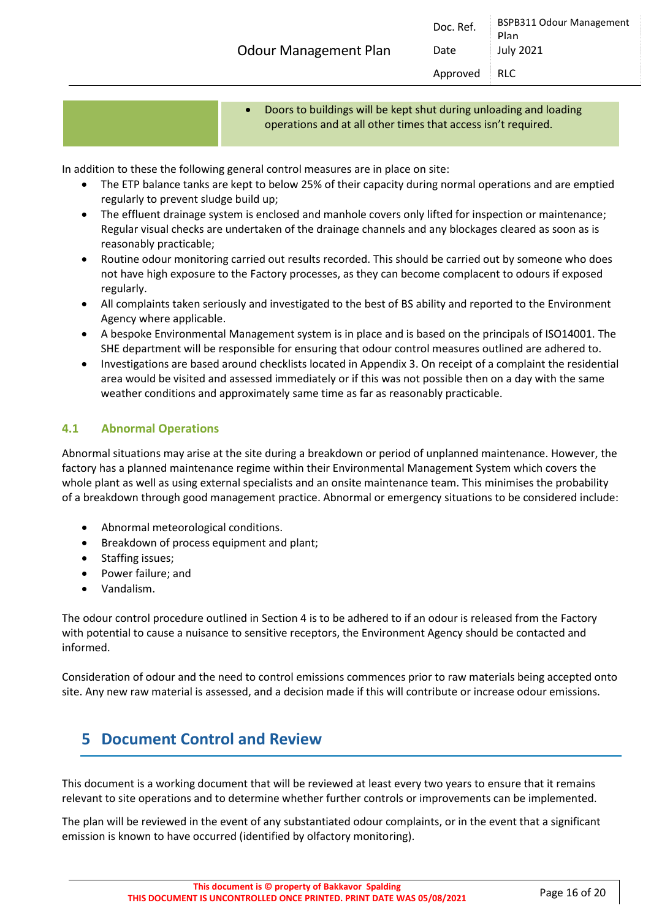• Doors to buildings will be kept shut during unloading and loading operations and at all other times that access isn't required.

In addition to these the following general control measures are in place on site:

- The ETP balance tanks are kept to below 25% of their capacity during normal operations and are emptied regularly to prevent sludge build up;
- The effluent drainage system is enclosed and manhole covers only lifted for inspection or maintenance; Regular visual checks are undertaken of the drainage channels and any blockages cleared as soon as is reasonably practicable;
- Routine odour monitoring carried out results recorded. This should be carried out by someone who does not have high exposure to the Factory processes, as they can become complacent to odours if exposed regularly.
- All complaints taken seriously and investigated to the best of BS ability and reported to the Environment Agency where applicable.
- A bespoke Environmental Management system is in place and is based on the principals of ISO14001. The SHE department will be responsible for ensuring that odour control measures outlined are adhered to.
- Investigations are based around checklists located in Appendix 3. On receipt of a complaint the residential area would be visited and assessed immediately or if this was not possible then on a day with the same weather conditions and approximately same time as far as reasonably practicable.

#### <span id="page-15-0"></span>**4.1 Abnormal Operations**

Abnormal situations may arise at the site during a breakdown or period of unplanned maintenance. However, the factory has a planned maintenance regime within their Environmental Management System which covers the whole plant as well as using external specialists and an onsite maintenance team. This minimises the probability of a breakdown through good management practice. Abnormal or emergency situations to be considered include:

- Abnormal meteorological conditions.
- Breakdown of process equipment and plant;
- Staffing issues;
- Power failure; and
- Vandalism.

The odour control procedure outlined in Section 4 is to be adhered to if an odour is released from the Factory with potential to cause a nuisance to sensitive receptors, the Environment Agency should be contacted and informed.

Consideration of odour and the need to control emissions commences prior to raw materials being accepted onto site. Any new raw material is assessed, and a decision made if this will contribute or increase odour emissions.

### <span id="page-15-1"></span>**5 Document Control and Review**

This document is a working document that will be reviewed at least every two years to ensure that it remains relevant to site operations and to determine whether further controls or improvements can be implemented.

The plan will be reviewed in the event of any substantiated odour complaints, or in the event that a significant emission is known to have occurred (identified by olfactory monitoring).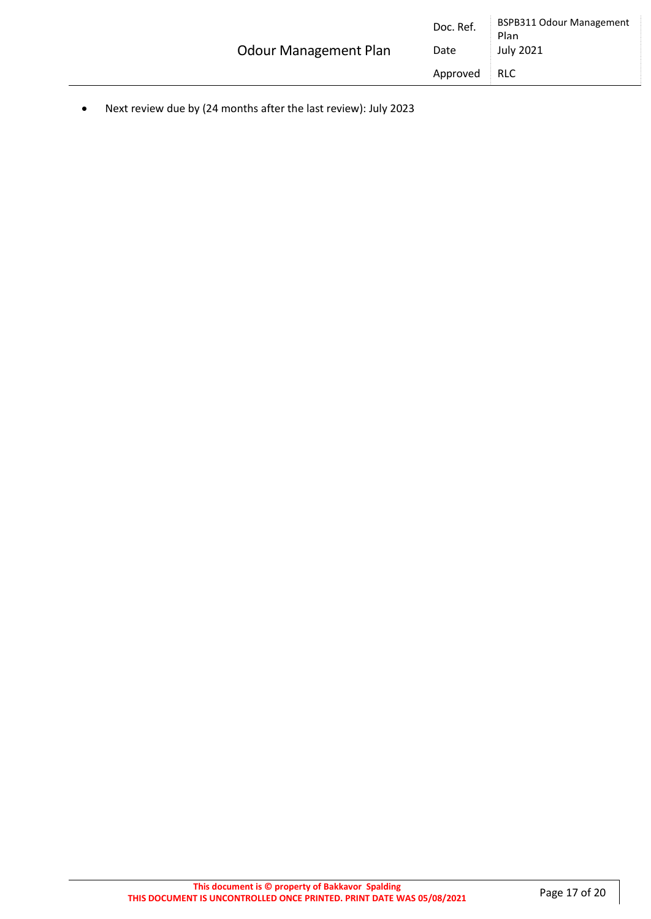|                              | Doc. Ref. | <b>BSPB311 Odour Management</b><br>Plan |
|------------------------------|-----------|-----------------------------------------|
| <b>Odour Management Plan</b> | Date      | July 2021                               |
|                              | Approved  | <b>RLC</b>                              |

• Next review due by (24 months after the last review): July 2023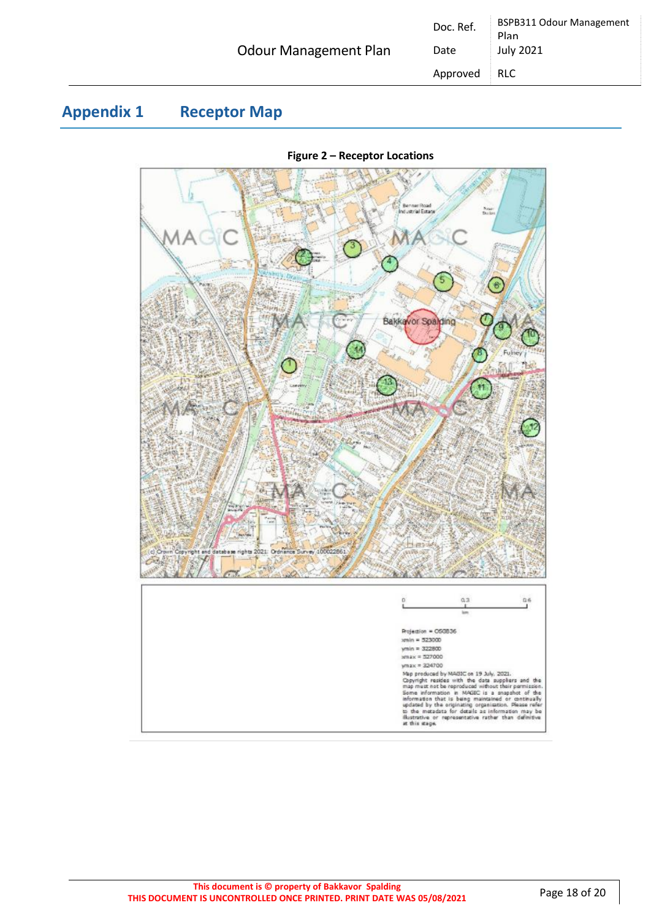|                              | Doc. Ref. | <b>BSPB311 Odour Management</b><br>Plan |
|------------------------------|-----------|-----------------------------------------|
| <b>Odour Management Plan</b> | Date      | <b>July 2021</b>                        |
|                              | Approved  | RLC.                                    |

### <span id="page-17-0"></span>**Appendix 1 Receptor Map**



#### **Figure 2 – Receptor Locations**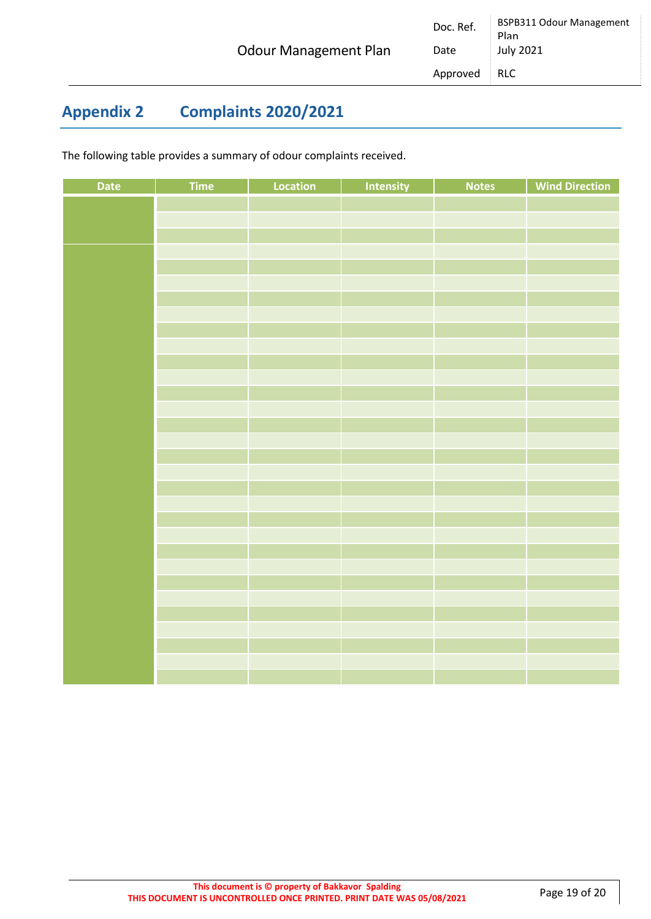### <span id="page-18-0"></span>**Appendix 2 Complaints 2020/2021**

The following table provides a summary of odour complaints received.

| Date | Time | Location | Intensity | <b>Notes</b> | <b>Wind Direction</b> |
|------|------|----------|-----------|--------------|-----------------------|
|      |      |          |           |              |                       |
|      |      |          |           |              |                       |
|      |      |          |           |              |                       |
|      |      |          |           |              |                       |
|      |      |          |           |              |                       |
|      |      |          |           |              |                       |
|      |      |          |           |              |                       |
|      |      |          |           |              |                       |
|      |      |          |           |              |                       |
|      |      |          |           |              |                       |
|      |      |          |           |              |                       |
|      |      |          |           |              |                       |
|      |      |          |           |              |                       |
|      |      |          |           |              |                       |
|      |      |          |           |              |                       |
|      |      |          |           |              |                       |
|      |      |          |           |              |                       |
|      |      |          |           |              |                       |
|      |      |          |           |              |                       |
|      |      |          |           |              |                       |
|      |      |          |           |              |                       |
|      |      |          |           |              |                       |
|      |      |          |           |              |                       |
|      |      |          |           |              |                       |
|      |      |          |           |              |                       |
|      |      |          |           |              |                       |
|      |      |          |           |              |                       |
|      |      |          |           |              |                       |